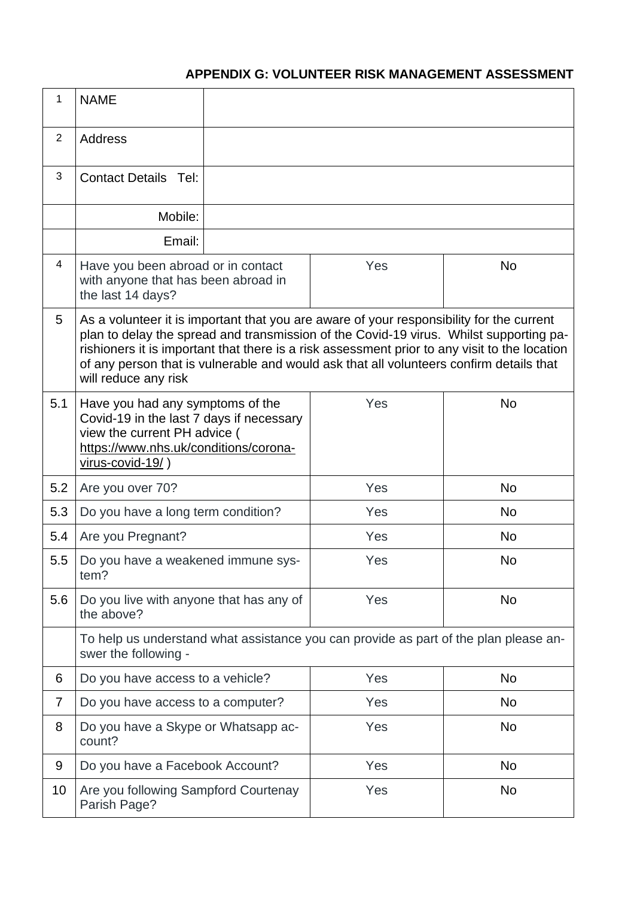## **APPENDIX G: VOLUNTEER RISK MANAGEMENT ASSESSMENT**

| 1              | <b>NAME</b>                                                                                                                                                                                                                                                                                                                                                                                            |  |     |           |
|----------------|--------------------------------------------------------------------------------------------------------------------------------------------------------------------------------------------------------------------------------------------------------------------------------------------------------------------------------------------------------------------------------------------------------|--|-----|-----------|
| $\overline{2}$ | <b>Address</b>                                                                                                                                                                                                                                                                                                                                                                                         |  |     |           |
| 3              | <b>Contact Details Tel:</b>                                                                                                                                                                                                                                                                                                                                                                            |  |     |           |
|                | Mobile:                                                                                                                                                                                                                                                                                                                                                                                                |  |     |           |
|                | Email:                                                                                                                                                                                                                                                                                                                                                                                                 |  |     |           |
| $\overline{4}$ | Have you been abroad or in contact<br>with anyone that has been abroad in<br>the last 14 days?                                                                                                                                                                                                                                                                                                         |  | Yes | <b>No</b> |
| 5              | As a volunteer it is important that you are aware of your responsibility for the current<br>plan to delay the spread and transmission of the Covid-19 virus. Whilst supporting pa-<br>rishioners it is important that there is a risk assessment prior to any visit to the location<br>of any person that is vulnerable and would ask that all volunteers confirm details that<br>will reduce any risk |  |     |           |
| 5.1            | Have you had any symptoms of the<br>Covid-19 in the last 7 days if necessary<br>view the current PH advice (<br>https://www.nhs.uk/conditions/corona-<br>virus-covid-19/)                                                                                                                                                                                                                              |  | Yes | <b>No</b> |
| 5.2            | Are you over 70?                                                                                                                                                                                                                                                                                                                                                                                       |  | Yes | <b>No</b> |
| 5.3            | Do you have a long term condition?                                                                                                                                                                                                                                                                                                                                                                     |  | Yes | <b>No</b> |
| 5.4            | Are you Pregnant?                                                                                                                                                                                                                                                                                                                                                                                      |  | Yes | <b>No</b> |
| 5.5            | Do you have a weakened immune sys-<br>tem?                                                                                                                                                                                                                                                                                                                                                             |  | Yes | No        |
| 5.6            | Do you live with anyone that has any of<br>the above?                                                                                                                                                                                                                                                                                                                                                  |  | Yes | <b>No</b> |
|                | To help us understand what assistance you can provide as part of the plan please an-<br>swer the following -                                                                                                                                                                                                                                                                                           |  |     |           |
| 6              | Do you have access to a vehicle?                                                                                                                                                                                                                                                                                                                                                                       |  | Yes | <b>No</b> |
| $\overline{7}$ | Do you have access to a computer?                                                                                                                                                                                                                                                                                                                                                                      |  | Yes | <b>No</b> |
| 8              | Do you have a Skype or Whatsapp ac-<br>count?                                                                                                                                                                                                                                                                                                                                                          |  | Yes | <b>No</b> |
| 9              | Do you have a Facebook Account?                                                                                                                                                                                                                                                                                                                                                                        |  | Yes | <b>No</b> |
| 10             | Are you following Sampford Courtenay<br>Parish Page?                                                                                                                                                                                                                                                                                                                                                   |  | Yes | <b>No</b> |